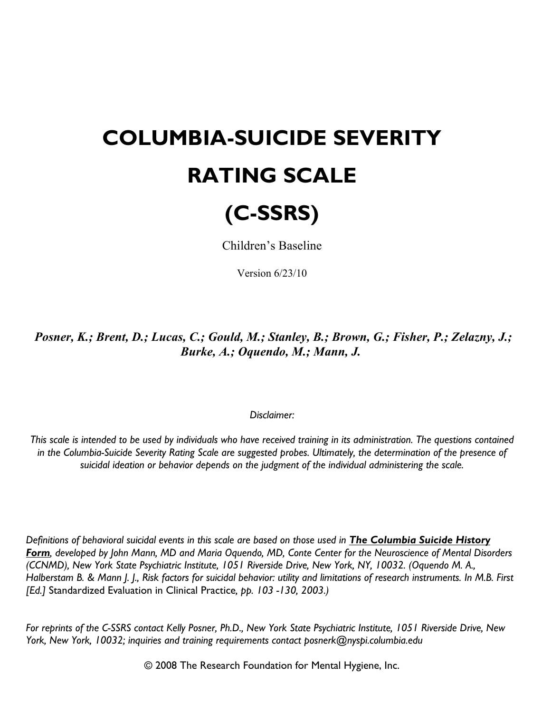## **COLUMBIA-SUICIDE SEVERITY RATING SCALE**



Children's Baseline

Version 6/23/10

*Posner, K.; Brent, D.; Lucas, C.; Gould, M.; Stanley, B.; Brown, G.; Fisher, P.; Zelazny, J.; Burke, A.; Oquendo, M.; Mann, J.*

## *Disclaimer:*

*This scale is intended to be used by individuals who have received training in its administration. The questions contained in the Columbia-Suicide Severity Rating Scale are suggested probes. Ultimately, the determination of the presence of suicidal ideation or behavior depends on the judgment of the individual administering the scale.*

*Definitions of behavioral suicidal events in this scale are based on those used in The Columbia Suicide History Form, developed by John Mann, MD and Maria Oquendo, MD, Conte Center for the Neuroscience of Mental Disorders (CCNMD), New York State Psychiatric Institute, 1051 Riverside Drive, New York, NY, 10032. (Oquendo M. A., Halberstam B. & Mann J. J., Risk factors for suicidal behavior: utility and limitations of research instruments. In M.B. First [Ed.]* Standardized Evaluation in Clinical Practice*, pp. 103 -130, 2003.)*

*For reprints of the C-SSRS contact Kelly Posner, Ph.D., New York State Psychiatric Institute, 1051 Riverside Drive, New York, New York, 10032; inquiries and training requirements contact posnerk@nyspi.columbia.edu*

© 2008 The Research Foundation for Mental Hygiene, Inc.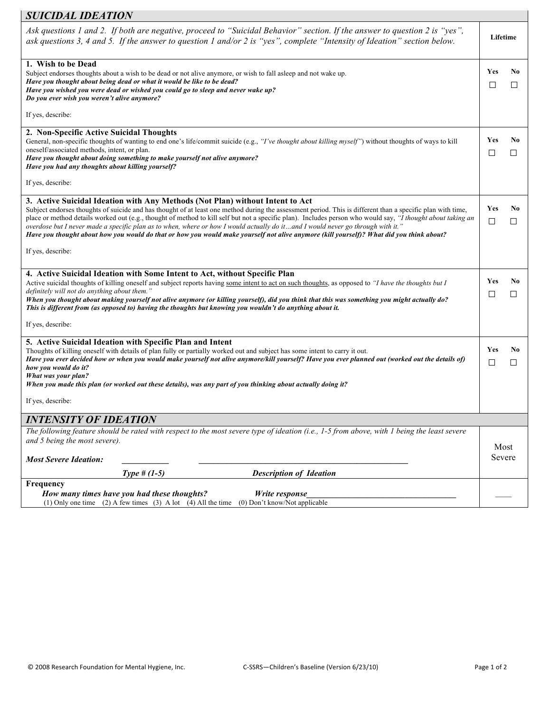## *SUICIDAL IDEATION*

| Ask questions 1 and 2. If both are negative, proceed to "Suicidal Behavior" section. If the answer to question 2 is "yes",<br>ask questions 3, 4 and 5. If the answer to question 1 and/or 2 is "yes", complete "Intensity of Ideation" section below.                                                                                                                                                                                                                                                                                                                                                                                                                                      | Lifetime             |                     |
|---------------------------------------------------------------------------------------------------------------------------------------------------------------------------------------------------------------------------------------------------------------------------------------------------------------------------------------------------------------------------------------------------------------------------------------------------------------------------------------------------------------------------------------------------------------------------------------------------------------------------------------------------------------------------------------------|----------------------|---------------------|
| 1. Wish to be Dead<br>Subject endorses thoughts about a wish to be dead or not alive anymore, or wish to fall asleep and not wake up.<br>Have you thought about being dead or what it would be like to be dead?<br>Have you wished you were dead or wished you could go to sleep and never wake up?<br>Do you ever wish you weren't alive anymore?<br>If yes, describe:                                                                                                                                                                                                                                                                                                                     | Yes<br>П             | N <sub>0</sub><br>П |
| 2. Non-Specific Active Suicidal Thoughts                                                                                                                                                                                                                                                                                                                                                                                                                                                                                                                                                                                                                                                    |                      |                     |
| General, non-specific thoughts of wanting to end one's life/commit suicide (e.g., " <i>I've thought about killing myself</i> ") without thoughts of ways to kill<br>oneself/associated methods, intent, or plan.<br>Have you thought about doing something to make yourself not alive anymore?<br>Have you had any thoughts about killing yourself?                                                                                                                                                                                                                                                                                                                                         | Yes<br>$\mathcal{L}$ | N0<br>□             |
| If yes, describe:                                                                                                                                                                                                                                                                                                                                                                                                                                                                                                                                                                                                                                                                           |                      |                     |
| 3. Active Suicidal Ideation with Any Methods (Not Plan) without Intent to Act<br>Subject endorses thoughts of suicide and has thought of at least one method during the assessment period. This is different than a specific plan with time,<br>place or method details worked out (e.g., thought of method to kill self but not a specific plan). Includes person who would say, "I thought about taking an<br>overdose but I never made a specific plan as to when, where or how I would actually do itand I would never go through with it."<br>Have you thought about how you would do that or how you would make yourself not alive anymore (kill yourself)? What did you think about? | Yes<br>$\Box$        | N0<br>□             |
| If yes, describe:                                                                                                                                                                                                                                                                                                                                                                                                                                                                                                                                                                                                                                                                           |                      |                     |
| 4. Active Suicidal Ideation with Some Intent to Act, without Specific Plan<br>Active suicidal thoughts of killing oneself and subject reports having some intent to act on such thoughts, as opposed to "I have the thoughts but I<br>definitely will not do anything about them."<br>When you thought about making yourself not alive anymore (or killing yourself), did you think that this was something you might actually do?<br>This is different from (as opposed to) having the thoughts but knowing you wouldn't do anything about it.                                                                                                                                             | Yes<br>$\Box$        | N0<br>П             |
| If yes, describe:                                                                                                                                                                                                                                                                                                                                                                                                                                                                                                                                                                                                                                                                           |                      |                     |
| 5. Active Suicidal Ideation with Specific Plan and Intent<br>Thoughts of killing oneself with details of plan fully or partially worked out and subject has some intent to carry it out.<br>Have you ever decided how or when you would make yourself not alive anymore/kill yourself? Have you ever planned out (worked out the details of)<br>how you would do it?<br>What was your plan?<br>When you made this plan (or worked out these details), was any part of you thinking about actually doing it?                                                                                                                                                                                 | Yes<br>□             | N <sub>0</sub><br>□ |
| If yes, describe:                                                                                                                                                                                                                                                                                                                                                                                                                                                                                                                                                                                                                                                                           |                      |                     |
| INTENSITY OF IDEATION                                                                                                                                                                                                                                                                                                                                                                                                                                                                                                                                                                                                                                                                       |                      |                     |
| The following feature should be rated with respect to the most severe type of ideation (i.e., 1-5 from above, with 1 being the least severe<br>and 5 being the most severe).                                                                                                                                                                                                                                                                                                                                                                                                                                                                                                                | Most                 |                     |
| <b>Most Severe Ideation:</b><br><b>Description of Ideation</b>                                                                                                                                                                                                                                                                                                                                                                                                                                                                                                                                                                                                                              | Severe               |                     |
| Type # $(1-5)$<br>Frequency                                                                                                                                                                                                                                                                                                                                                                                                                                                                                                                                                                                                                                                                 |                      |                     |
| How many times have you had these thoughts?<br>Write response<br>(1) Only one time (2) A few times (3) A lot (4) All the time (0) Don't know/Not applicable                                                                                                                                                                                                                                                                                                                                                                                                                                                                                                                                 |                      |                     |

٦